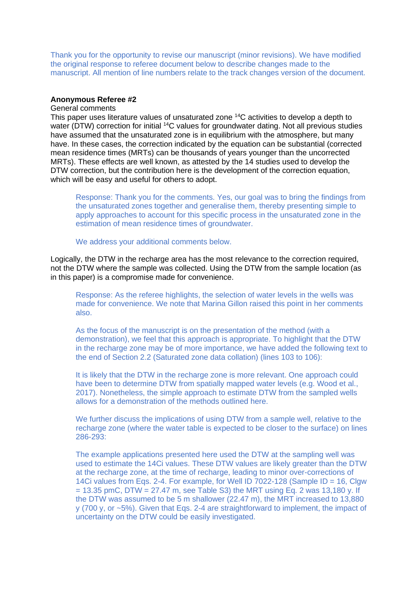Thank you for the opportunity to revise our manuscript (minor revisions). We have modified the original response to referee document below to describe changes made to the manuscript. All mention of line numbers relate to the track changes version of the document.

# **Anonymous Referee #2**

#### General comments

This paper uses literature values of unsaturated zone <sup>14</sup>C activities to develop a depth to water (DTW) correction for initial <sup>14</sup>C values for groundwater dating. Not all previous studies have assumed that the unsaturated zone is in equilibrium with the atmosphere, but many have. In these cases, the correction indicated by the equation can be substantial (corrected mean residence times (MRTs) can be thousands of years younger than the uncorrected MRTs). These effects are well known, as attested by the 14 studies used to develop the DTW correction, but the contribution here is the development of the correction equation, which will be easy and useful for others to adopt.

Response: Thank you for the comments. Yes, our goal was to bring the findings from the unsaturated zones together and generalise them, thereby presenting simple to apply approaches to account for this specific process in the unsaturated zone in the estimation of mean residence times of groundwater.

We address your additional comments below.

Logically, the DTW in the recharge area has the most relevance to the correction required, not the DTW where the sample was collected. Using the DTW from the sample location (as in this paper) is a compromise made for convenience.

Response: As the referee highlights, the selection of water levels in the wells was made for convenience. We note that Marina Gillon raised this point in her comments also.

As the focus of the manuscript is on the presentation of the method (with a demonstration), we feel that this approach is appropriate. To highlight that the DTW in the recharge zone may be of more importance, we have added the following text to the end of Section 2.2 (Saturated zone data collation) (lines 103 to 106):

It is likely that the DTW in the recharge zone is more relevant. One approach could have been to determine DTW from spatially mapped water levels (e.g. Wood et al., 2017). Nonetheless, the simple approach to estimate DTW from the sampled wells allows for a demonstration of the methods outlined here.

We further discuss the implications of using DTW from a sample well, relative to the recharge zone (where the water table is expected to be closer to the surface) on lines 286-293:

The example applications presented here used the DTW at the sampling well was used to estimate the 14Ci values. These DTW values are likely greater than the DTW at the recharge zone, at the time of recharge, leading to minor over-corrections of 14Ci values from Eqs. 2-4. For example, for Well ID 7022-128 (Sample ID = 16, Clgw  $= 13.35$  pmC, DTW  $= 27.47$  m, see Table S3) the MRT using Eq. 2 was 13,180 y. If the DTW was assumed to be 5 m shallower (22.47 m), the MRT increased to 13,880 y (700 y, or ~5%). Given that Eqs. 2-4 are straightforward to implement, the impact of uncertainty on the DTW could be easily investigated.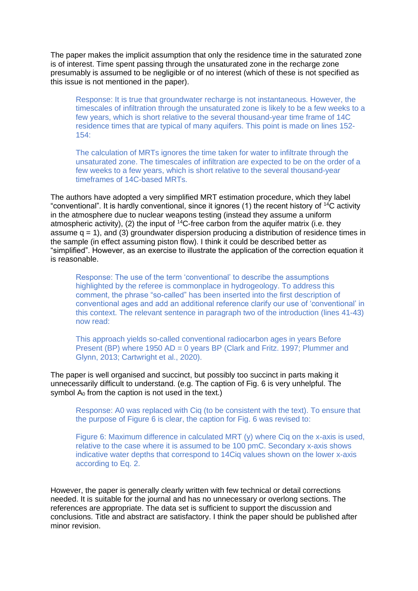The paper makes the implicit assumption that only the residence time in the saturated zone is of interest. Time spent passing through the unsaturated zone in the recharge zone presumably is assumed to be negligible or of no interest (which of these is not specified as this issue is not mentioned in the paper).

Response: It is true that groundwater recharge is not instantaneous. However, the timescales of infiltration through the unsaturated zone is likely to be a few weeks to a few years, which is short relative to the several thousand-year time frame of 14C residence times that are typical of many aquifers. This point is made on lines 152- 154:

The calculation of MRTs ignores the time taken for water to infiltrate through the unsaturated zone. The timescales of infiltration are expected to be on the order of a few weeks to a few years, which is short relative to the several thousand-year timeframes of 14C-based MRTs.

The authors have adopted a very simplified MRT estimation procedure, which they label "conventional". It is hardly conventional, since it ignores (1) the recent history of  $14C$  activity in the atmosphere due to nuclear weapons testing (instead they assume a uniform atmospheric activity), (2) the input of  $14C$ -free carbon from the aquifer matrix (i.e. they assume q = 1), and (3) groundwater dispersion producing a distribution of residence times in the sample (in effect assuming piston flow). I think it could be described better as "simplified". However, as an exercise to illustrate the application of the correction equation it is reasonable.

Response: The use of the term 'conventional' to describe the assumptions highlighted by the referee is commonplace in hydrogeology. To address this comment, the phrase "so-called" has been inserted into the first description of conventional ages and add an additional reference clarify our use of 'conventional' in this context. The relevant sentence in paragraph two of the introduction (lines 41-43) now read:

This approach yields so-called conventional radiocarbon ages in years Before Present (BP) where 1950 AD = 0 years BP (Clark and Fritz. 1997; Plummer and Glynn, 2013; Cartwright et al., 2020).

The paper is well organised and succinct, but possibly too succinct in parts making it unnecessarily difficult to understand. (e.g. The caption of Fig. 6 is very unhelpful. The symbol  $A_0$  from the caption is not used in the text.)

Response: A0 was replaced with Ciq (to be consistent with the text). To ensure that the purpose of Figure 6 is clear, the caption for Fig. 6 was revised to:

Figure 6: Maximum difference in calculated MRT (y) where Ciq on the x-axis is used, relative to the case where it is assumed to be 100 pmC. Secondary x-axis shows indicative water depths that correspond to 14Ciq values shown on the lower x-axis according to Eq. 2.

However, the paper is generally clearly written with few technical or detail corrections needed. It is suitable for the journal and has no unnecessary or overlong sections. The references are appropriate. The data set is sufficient to support the discussion and conclusions. Title and abstract are satisfactory. I think the paper should be published after minor revision.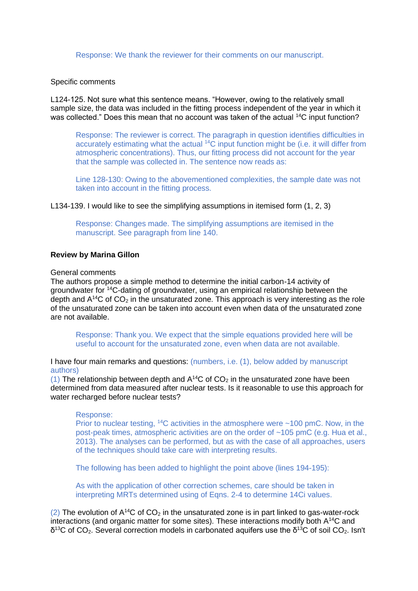Response: We thank the reviewer for their comments on our manuscript.

# Specific comments

L124-125. Not sure what this sentence means. "However, owing to the relatively small sample size, the data was included in the fitting process independent of the year in which it was collected." Does this mean that no account was taken of the actual <sup>14</sup>C input function?

Response: The reviewer is correct. The paragraph in question identifies difficulties in accurately estimating what the actual <sup>14</sup>C input function might be (i.e. it will differ from atmospheric concentrations). Thus, our fitting process did not account for the year that the sample was collected in. The sentence now reads as:

Line 128-130: Owing to the abovementioned complexities, the sample date was not taken into account in the fitting process.

L134-139. I would like to see the simplifying assumptions in itemised form (1, 2, 3)

Response: Changes made. The simplifying assumptions are itemised in the manuscript. See paragraph from line 140.

# **Review by Marina Gillon**

## General comments

The authors propose a simple method to determine the initial carbon-14 activity of groundwater for <sup>14</sup>C-dating of groundwater, using an empirical relationship between the depth and  $A^{14}C$  of  $CO_2$  in the unsaturated zone. This approach is very interesting as the role of the unsaturated zone can be taken into account even when data of the unsaturated zone are not available.

Response: Thank you. We expect that the simple equations provided here will be useful to account for the unsaturated zone, even when data are not available.

I have four main remarks and questions: (numbers, i.e. (1), below added by manuscript authors)

(1) The relationship between depth and  $A^{14}C$  of  $CO<sub>2</sub>$  in the unsaturated zone have been determined from data measured after nuclear tests. Is it reasonable to use this approach for water recharged before nuclear tests?

## Response:

Prior to nuclear testing,  $^{14}$ C activities in the atmosphere were  $\sim$ 100 pmC. Now, in the post-peak times, atmospheric activities are on the order of ~105 pmC (e.g. Hua et al., 2013). The analyses can be performed, but as with the case of all approaches, users of the techniques should take care with interpreting results.

The following has been added to highlight the point above (lines 194-195):

As with the application of other correction schemes, care should be taken in interpreting MRTs determined using of Eqns. 2-4 to determine 14Ci values.

(2) The evolution of  $A^{14}C$  of  $CO<sub>2</sub>$  in the unsaturated zone is in part linked to gas-water-rock interactions (and organic matter for some sites). These interactions modify both A<sup>14</sup>C and  $\delta^{13}$ C of CO<sub>2</sub>. Several correction models in carbonated aquifers use the  $\delta^{13}$ C of soil CO<sub>2</sub>. Isn't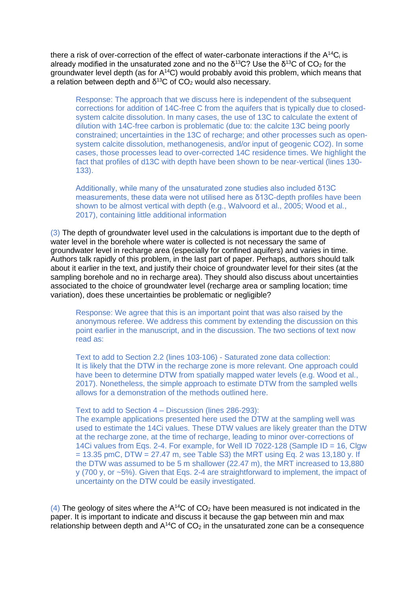there a risk of over-correction of the effect of water-carbonate interactions if the  $A^{14}C_i$  is already modified in the unsaturated zone and no the  $\delta^{13}C$ ? Use the  $\delta^{13}C$  of CO<sub>2</sub> for the groundwater level depth (as for  $A^{14}C$ ) would probably avoid this problem, which means that a relation between depth and  $\delta^{13}$ C of CO<sub>2</sub> would also necessary.

Response: The approach that we discuss here is independent of the subsequent corrections for addition of 14C-free C from the aquifers that is typically due to closedsystem calcite dissolution. In many cases, the use of 13C to calculate the extent of dilution with 14C-free carbon is problematic (due to: the calcite 13C being poorly constrained; uncertainties in the 13C of recharge; and other processes such as opensystem calcite dissolution, methanogenesis, and/or input of geogenic CO2). In some cases, those processes lead to over-corrected 14C residence times. We highlight the fact that profiles of d13C with depth have been shown to be near-vertical (lines 130- 133).

Additionally, while many of the unsaturated zone studies also included δ13C measurements, these data were not utilised here as  $δ13C$ -depth profiles have been shown to be almost vertical with depth (e.g., Walvoord et al., 2005; Wood et al., 2017), containing little additional information

(3) The depth of groundwater level used in the calculations is important due to the depth of water level in the borehole where water is collected is not necessary the same of groundwater level in recharge area (especially for confined aquifers) and varies in time. Authors talk rapidly of this problem, in the last part of paper. Perhaps, authors should talk about it earlier in the text, and justify their choice of groundwater level for their sites (at the sampling borehole and no in recharge area). They should also discuss about uncertainties associated to the choice of groundwater level (recharge area or sampling location; time variation), does these uncertainties be problematic or negligible?

Response: We agree that this is an important point that was also raised by the anonymous referee. We address this comment by extending the discussion on this point earlier in the manuscript, and in the discussion. The two sections of text now read as:

Text to add to Section 2.2 (lines 103-106) - Saturated zone data collection: It is likely that the DTW in the recharge zone is more relevant. One approach could have been to determine DTW from spatially mapped water levels (e.g. Wood et al., 2017). Nonetheless, the simple approach to estimate DTW from the sampled wells allows for a demonstration of the methods outlined here.

Text to add to Section 4 – Discussion (lines 286-293):

The example applications presented here used the DTW at the sampling well was used to estimate the 14Ci values. These DTW values are likely greater than the DTW at the recharge zone, at the time of recharge, leading to minor over-corrections of 14Ci values from Eqs. 2-4. For example, for Well ID 7022-128 (Sample ID = 16, Clgw  $= 13.35$  pmC, DTW  $= 27.47$  m, see Table S3) the MRT using Eq. 2 was 13,180 y. If the DTW was assumed to be 5 m shallower (22.47 m), the MRT increased to 13,880 y (700 y, or ~5%). Given that Eqs. 2-4 are straightforward to implement, the impact of uncertainty on the DTW could be easily investigated.

(4) The geology of sites where the  $A^{14}C$  of  $CO<sub>2</sub>$  have been measured is not indicated in the paper. It is important to indicate and discuss it because the gap between min and max relationship between depth and  $A^{14}C$  of  $CO<sub>2</sub>$  in the unsaturated zone can be a consequence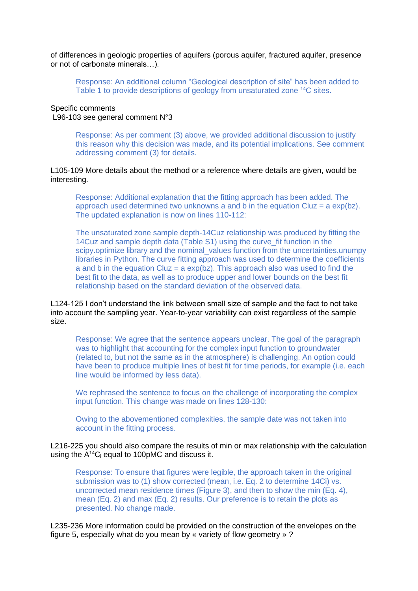of differences in geologic properties of aquifers (porous aquifer, fractured aquifer, presence or not of carbonate minerals…).

Response: An additional column "Geological description of site" has been added to Table 1 to provide descriptions of geology from unsaturated zone <sup>14</sup>C sites.

#### Specific comments L96-103 see general comment N°3

Response: As per comment (3) above, we provided additional discussion to justify this reason why this decision was made, and its potential implications. See comment addressing comment (3) for details.

# L105-109 More details about the method or a reference where details are given, would be interesting.

Response: Additional explanation that the fitting approach has been added. The approach used determined two unknowns a and b in the equation Cluz =  $a \exp(bz)$ . The updated explanation is now on lines 110-112:

The unsaturated zone sample depth-14Cuz relationship was produced by fitting the 14Cuz and sample depth data (Table S1) using the curve\_fit function in the scipy.optimize library and the nominal values function from the uncertainties.unumpy libraries in Python. The curve fitting approach was used to determine the coefficients a and b in the equation  $Cluz = a exp(bz)$ . This approach also was used to find the best fit to the data, as well as to produce upper and lower bounds on the best fit relationship based on the standard deviation of the observed data.

L124-125 I don't understand the link between small size of sample and the fact to not take into account the sampling year. Year-to-year variability can exist regardless of the sample size.

Response: We agree that the sentence appears unclear. The goal of the paragraph was to highlight that accounting for the complex input function to groundwater (related to, but not the same as in the atmosphere) is challenging. An option could have been to produce multiple lines of best fit for time periods, for example (i.e. each line would be informed by less data).

We rephrased the sentence to focus on the challenge of incorporating the complex input function. This change was made on lines 128-130:

Owing to the abovementioned complexities, the sample date was not taken into account in the fitting process.

## L216-225 you should also compare the results of min or max relationship with the calculation using the  $A^{14}C_i$  equal to 100pMC and discuss it.

Response: To ensure that figures were legible, the approach taken in the original submission was to (1) show corrected (mean, i.e. Eq. 2 to determine 14Ci) vs. uncorrected mean residence times (Figure 3), and then to show the min (Eq. 4), mean (Eq. 2) and max (Eq. 2) results. Our preference is to retain the plots as presented. No change made.

L235-236 More information could be provided on the construction of the envelopes on the figure 5, especially what do you mean by « variety of flow geometry » ?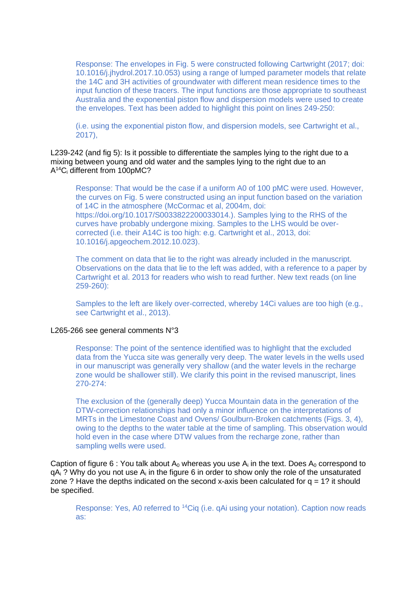Response: The envelopes in Fig. 5 were constructed following Cartwright (2017; doi: 10.1016/j.jhydrol.2017.10.053) using a range of lumped parameter models that relate the 14C and 3H activities of groundwater with different mean residence times to the input function of these tracers. The input functions are those appropriate to southeast Australia and the exponential piston flow and dispersion models were used to create the envelopes. Text has been added to highlight this point on lines 249-250:

(i.e. using the exponential piston flow, and dispersion models, see Cartwright et al., 2017),

L239-242 (and fig 5): Is it possible to differentiate the samples Iving to the right due to a mixing between young and old water and the samples lying to the right due to an A<sup>14</sup>C<sub>i</sub> different from 100pMC?

Response: That would be the case if a uniform A0 of 100 pMC were used. However, the curves on Fig. 5 were constructed using an input function based on the variation of 14C in the atmosphere (McCormac et al, 2004m, doi: https://doi.org/10.1017/S0033822200033014.). Samples lying to the RHS of the curves have probably undergone mixing. Samples to the LHS would be overcorrected (i.e. their A14C is too high: e.g. Cartwright et al., 2013, doi: 10.1016/j.apgeochem.2012.10.023).

The comment on data that lie to the right was already included in the manuscript. Observations on the data that lie to the left was added, with a reference to a paper by Cartwright et al. 2013 for readers who wish to read further. New text reads (on line 259-260):

Samples to the left are likely over-corrected, whereby 14Ci values are too high (e.g., see Cartwright et al., 2013).

#### L265-266 see general comments N°3

Response: The point of the sentence identified was to highlight that the excluded data from the Yucca site was generally very deep. The water levels in the wells used in our manuscript was generally very shallow (and the water levels in the recharge zone would be shallower still). We clarify this point in the revised manuscript, lines 270-274:

The exclusion of the (generally deep) Yucca Mountain data in the generation of the DTW-correction relationships had only a minor influence on the interpretations of MRTs in the Limestone Coast and Ovens/ Goulburn-Broken catchments (Figs. 3, 4), owing to the depths to the water table at the time of sampling. This observation would hold even in the case where DTW values from the recharge zone, rather than sampling wells were used.

Caption of figure 6 : You talk about  $A_0$  whereas you use  $A_i$  in the text. Does  $A_0$  correspond to  $qA_i$ ? Why do you not use  $A_i$  in the figure 6 in order to show only the role of the unsaturated zone ? Have the depths indicated on the second x-axis been calculated for  $q = 1$ ? it should be specified.

Response: Yes, A0 referred to <sup>14</sup>Ciq (i.e. qAi using your notation). Caption now reads as: